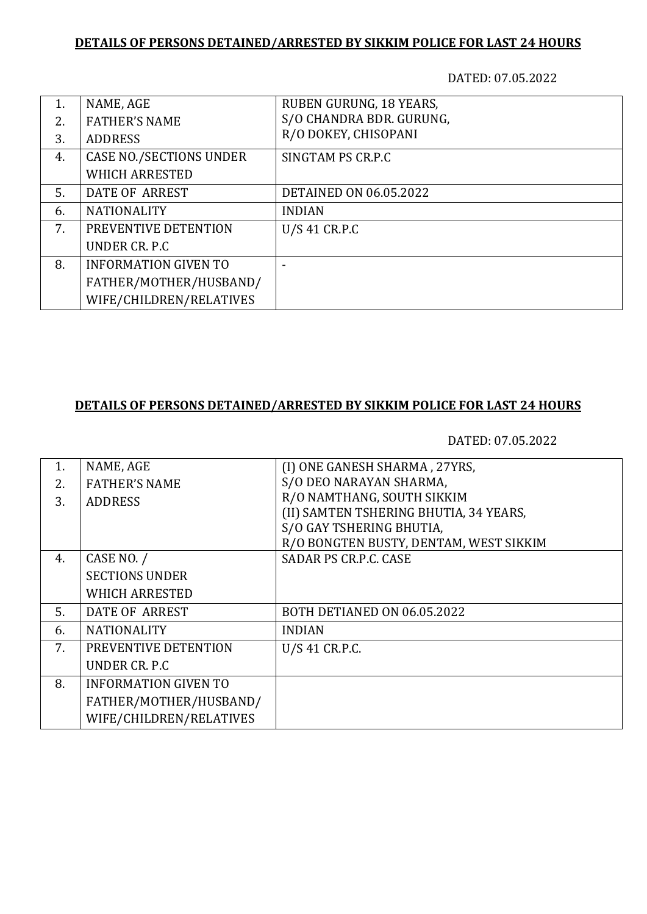#### **DETAILS OF PERSONS DETAINED/ARRESTED BY SIKKIM POLICE FOR LAST 24 HOURS**

DATED: 07.05.2022

| 1.  | NAME, AGE                      | RUBEN GURUNG, 18 YEARS,       |
|-----|--------------------------------|-------------------------------|
| 2.  | <b>FATHER'S NAME</b>           | S/O CHANDRA BDR. GURUNG,      |
| 3.  | <b>ADDRESS</b>                 | R/O DOKEY, CHISOPANI          |
| 4.  | <b>CASE NO./SECTIONS UNDER</b> | SINGTAM PS CR.P.C             |
|     | <b>WHICH ARRESTED</b>          |                               |
| .5. | DATE OF ARREST                 | <b>DETAINED ON 06.05.2022</b> |
| 6.  | <b>NATIONALITY</b>             | <b>INDIAN</b>                 |
| 7.  | PREVENTIVE DETENTION           | $U/S$ 41 CR.P.C               |
|     | UNDER CR. P.C.                 |                               |
| 8.  | <b>INFORMATION GIVEN TO</b>    |                               |
|     | FATHER/MOTHER/HUSBAND/         |                               |
|     | WIFE/CHILDREN/RELATIVES        |                               |

# **DETAILS OF PERSONS DETAINED/ARRESTED BY SIKKIM POLICE FOR LAST 24 HOURS**

DATED: 07.05.2022

| 1. | NAME, AGE                   | (I) ONE GANESH SHARMA, 27YRS,          |
|----|-----------------------------|----------------------------------------|
| 2. | <b>FATHER'S NAME</b>        | S/O DEO NARAYAN SHARMA,                |
| 3. | <b>ADDRESS</b>              | R/O NAMTHANG, SOUTH SIKKIM             |
|    |                             | (II) SAMTEN TSHERING BHUTIA, 34 YEARS, |
|    |                             | S/O GAY TSHERING BHUTIA,               |
|    |                             | R/O BONGTEN BUSTY, DENTAM, WEST SIKKIM |
| 4. | CASE NO. /                  | <b>SADAR PS CR.P.C. CASE</b>           |
|    | <b>SECTIONS UNDER</b>       |                                        |
|    | <b>WHICH ARRESTED</b>       |                                        |
| 5. | DATE OF ARREST              | BOTH DETIANED ON 06.05.2022            |
| 6. | <b>NATIONALITY</b>          | <b>INDIAN</b>                          |
| 7. | PREVENTIVE DETENTION        | U/S 41 CR.P.C.                         |
|    | UNDER CR. P.C.              |                                        |
| 8. | <b>INFORMATION GIVEN TO</b> |                                        |
|    | FATHER/MOTHER/HUSBAND/      |                                        |
|    | WIFE/CHILDREN/RELATIVES     |                                        |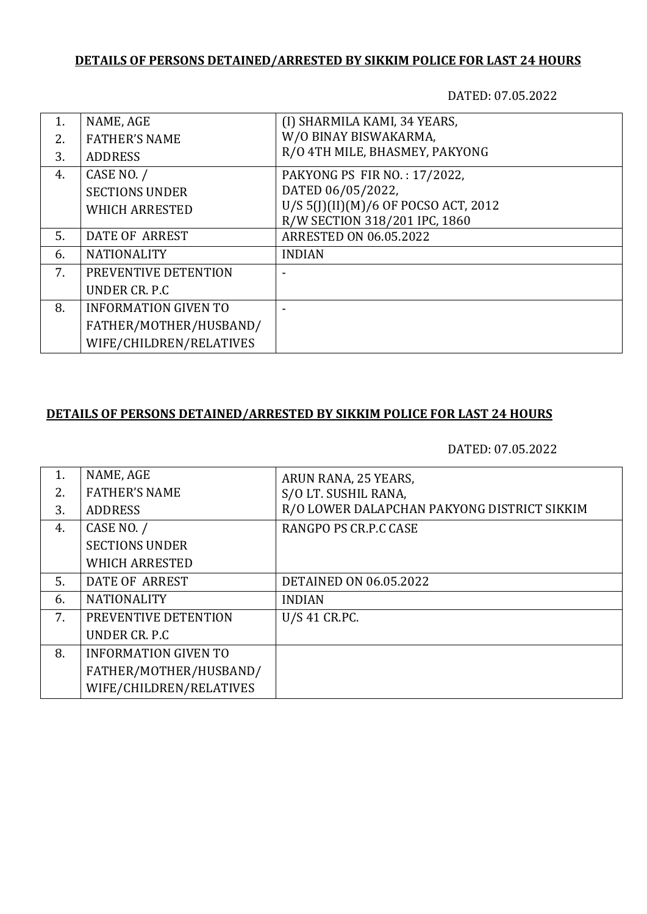# **DETAILS OF PERSONS DETAINED/ARRESTED BY SIKKIM POLICE FOR LAST 24 HOURS**

DATED: 07.05.2022

| 1. | NAME, AGE                   | (I) SHARMILA KAMI, 34 YEARS,         |
|----|-----------------------------|--------------------------------------|
| 2. | <b>FATHER'S NAME</b>        | W/O BINAY BISWAKARMA,                |
| 3. | <b>ADDRESS</b>              | R/O 4TH MILE, BHASMEY, PAKYONG       |
| 4. | CASE NO. /                  | PAKYONG PS FIR NO.: 17/2022,         |
|    | <b>SECTIONS UNDER</b>       | DATED 06/05/2022,                    |
|    | <b>WHICH ARRESTED</b>       | U/S 5(J)(II)(M)/6 OF POCSO ACT, 2012 |
|    |                             | R/W SECTION 318/201 IPC, 1860        |
| 5. | DATE OF ARREST              | <b>ARRESTED ON 06.05.2022</b>        |
| 6. | <b>NATIONALITY</b>          | <b>INDIAN</b>                        |
| 7. | PREVENTIVE DETENTION        |                                      |
|    | UNDER CR. P.C.              |                                      |
| 8. | <b>INFORMATION GIVEN TO</b> |                                      |
|    | FATHER/MOTHER/HUSBAND/      |                                      |
|    | WIFE/CHILDREN/RELATIVES     |                                      |

# **DETAILS OF PERSONS DETAINED/ARRESTED BY SIKKIM POLICE FOR LAST 24 HOURS**

#### DATED: 07.05.2022

| 1. | NAME, AGE                   | ARUN RANA, 25 YEARS,                        |
|----|-----------------------------|---------------------------------------------|
| 2. | <b>FATHER'S NAME</b>        | S/O LT. SUSHIL RANA,                        |
| 3. | <b>ADDRESS</b>              | R/O LOWER DALAPCHAN PAKYONG DISTRICT SIKKIM |
| 4. | CASE NO. /                  | RANGPO PS CR.P.C CASE                       |
|    | <b>SECTIONS UNDER</b>       |                                             |
|    | <b>WHICH ARRESTED</b>       |                                             |
| 5. | DATE OF ARREST              | <b>DETAINED ON 06.05.2022</b>               |
| 6. | <b>NATIONALITY</b>          | <b>INDIAN</b>                               |
| 7. | PREVENTIVE DETENTION        | U/S 41 CR.PC.                               |
|    | UNDER CR. P.C               |                                             |
| 8. | <b>INFORMATION GIVEN TO</b> |                                             |
|    | FATHER/MOTHER/HUSBAND/      |                                             |
|    | WIFE/CHILDREN/RELATIVES     |                                             |